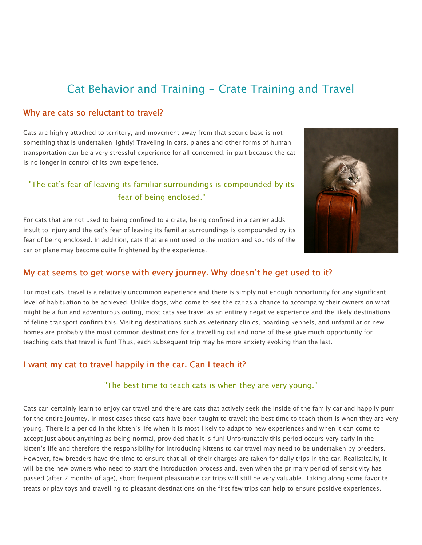## Cat Behavior and Training - Crate Training and Travel

#### Why are cats so reluctant to travel?

Cats are highly attached to territory, and movement away from that secure base is not something that is undertaken lightly! Traveling in cars, planes and other forms of human transportation can be a very stressful experience for all concerned, in part because the cat is no longer in control of its own experience.

## "The cat's fear of leaving its familiar surroundings is compounded by its fear of being enclosed."

For cats that are not used to being confined to a crate, being confined in a carrier adds insult to injury and the cat's fear of leaving its familiar surroundings is compounded by its fear of being enclosed. In addition, cats that are not used to the motion and sounds of the car or plane may become quite frightened by the experience.

#### My cat seems to get worse with every journey. Why doesn't he get used to it?

For most cats, travel is a relatively uncommon experience and there is simply not enough opportunity for any significant level of habituation to be achieved. Unlike dogs, who come to see the car as a chance to accompany their owners on what might be a fun and adventurous outing, most cats see travel as an entirely negative experience and the likely destinations of feline transport confirm this. Visiting destinations such as veterinary clinics, boarding kennels, and unfamiliar or new homes are probably the most common destinations for a travelling cat and none of these give much opportunity for teaching cats that travel is fun! Thus, each subsequent trip may be more anxiety evoking than the last.

#### I want my cat to travel happily in the car. Can I teach it?

#### "The best time to teach cats is when they are very young."

Cats can certainly learn to enjoy car travel and there are cats that actively seek the inside of the family car and happily purr for the entire journey. In most cases these cats have been taught to travel; the best time to teach them is when they are very young. There is a period in the kitten's life when it is most likely to adapt to new experiences and when it can come to accept just about anything as being normal, provided that it is fun! Unfortunately this period occurs very early in the kitten's life and therefore the responsibility for introducing kittens to car travel may need to be undertaken by breeders. However, few breeders have the time to ensure that all of their charges are taken for daily trips in the car. Realistically, it will be the new owners who need to start the introduction process and, even when the primary period of sensitivity has passed (after 2 months of age), short frequent pleasurable car trips will still be very valuable. Taking along some favorite treats or play toys and travelling to pleasant destinations on the first few trips can help to ensure positive experiences.

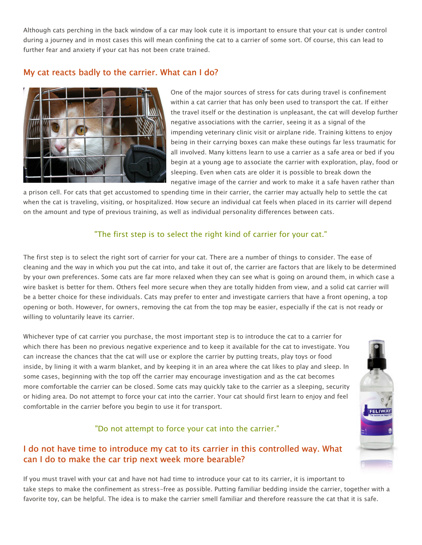Although cats perching in the back window of a car may look cute it is important to ensure that your cat is under control during a journey and in most cases this will mean confining the cat to a carrier of some sort. Of course, this can lead to further fear and anxiety if your cat has not been crate trained.

### My cat reacts badly to the carrier. What can I do?



One of the major sources of stress for cats during travel is confinement within a cat carrier that has only been used to transport the cat. If either the travel itself or the destination is unpleasant, the cat will develop further negative associations with the carrier, seeing it as a signal of the impending veterinary clinic visit or airplane ride. Training kittens to enjoy being in their carrying boxes can make these outings far less traumatic for all involved. Many kittens learn to use a carrier as a safe area or bed if you begin at a young age to associate the carrier with exploration, play, food or sleeping. Even when cats are older it is possible to break down the negative image of the carrier and work to make it a safe haven rather than

a prison cell. For cats that get accustomed to spending time in their carrier, the carrier may actually help to settle the cat when the cat is traveling, visiting, or hospitalized. How secure an individual cat feels when placed in its carrier will depend on the amount and type of previous training, as well as individual personality differences between cats.

#### "The first step is to select the right kind of carrier for your cat."

The first step is to select the right sort of carrier for your cat. There are a number of things to consider. The ease of cleaning and the way in which you put the cat into, and take it out of, the carrier are factors that are likely to be determined by your own preferences. Some cats are far more relaxed when they can see what is going on around them, in which case a wire basket is better for them. Others feel more secure when they are totally hidden from view, and a solid cat carrier will be a better choice for these individuals. Cats may prefer to enter and investigate carriers that have a front opening, a top opening or both. However, for owners, removing the cat from the top may be easier, especially if the cat is not ready or willing to voluntarily leave its carrier.

Whichever type of cat carrier you purchase, the most important step is to introduce the cat to a carrier for which there has been no previous negative experience and to keep it available for the cat to investigate. You can increase the chances that the cat will use or explore the carrier by putting treats, play toys or food inside, by lining it with a warm blanket, and by keeping it in an area where the cat likes to play and sleep. In some cases, beginning with the top off the carrier may encourage investigation and as the cat becomes more comfortable the carrier can be closed. Some cats may quickly take to the carrier as a sleeping, security or hiding area. Do not attempt to force your cat into the carrier. Your cat should first learn to enjoy and feel comfortable in the carrier before you begin to use it for transport.

# "Do not attempt to force your cat into the carrier."

## I do not have time to introduce my cat to its carrier in this controlled way. What can I do to make the car trip next week more bearable?

If you must travel with your cat and have not had time to introduce your cat to its carrier, it is important to take steps to make the confinement as stress-free as possible. Putting familiar bedding inside the carrier, together with a favorite toy, can be helpful. The idea is to make the carrier smell familiar and therefore reassure the cat that it is safe.